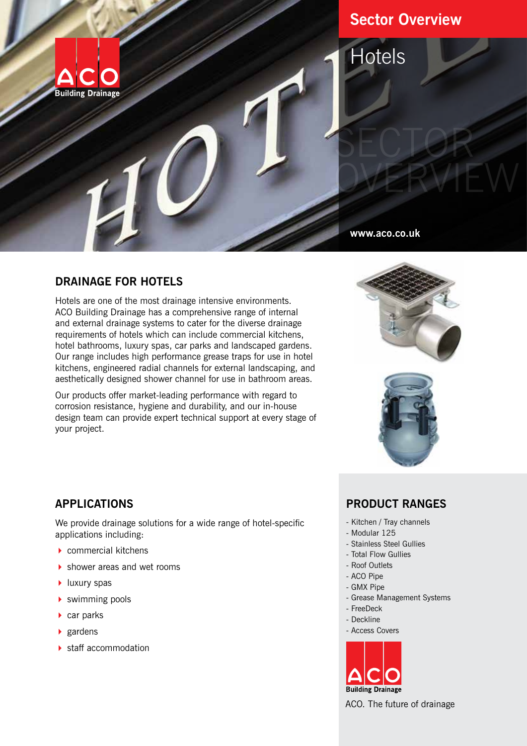

# **Sector Overview**

SECTOR

OVERVIEW

**Hotels** 

**www.aco.co.uk**

# **DRAINAGE FOR HOTELS**

Hotels are one of the most drainage intensive environments. ACO Building Drainage has a comprehensive range of internal and external drainage systems to cater for the diverse drainage requirements of hotels which can include commercial kitchens, hotel bathrooms, luxury spas, car parks and landscaped gardens. Our range includes high performance grease traps for use in hotel kitchens, engineered radial channels for external landscaping, and aesthetically designed shower channel for use in bathroom areas.

Our products offer market-leading performance with regard to corrosion resistance, hygiene and durability, and our in-house design team can provide expert technical support at every stage of your project.





# **APPLICATIONS**

We provide drainage solutions for a wide range of hotel-specific applications including:

- $\triangleright$  commercial kitchens
- ▶ shower areas and wet rooms
- **I** luxury spas
- $\blacktriangleright$  swimming pools
- $\triangleright$  car parks
- $\blacktriangleright$  gardens
- $\blacktriangleright$  staff accommodation

# **PRODUCT RANGES**

- Kitchen / Tray channels
- Modular 125
- Stainless Steel Gullies
- Total Flow Gullies
- Roof Outlets
- ACO Pipe
- GMX Pipe
- Grease Management Systems
- FreeDeck
- Deckline
- Access Covers



ACO. The future of drainage